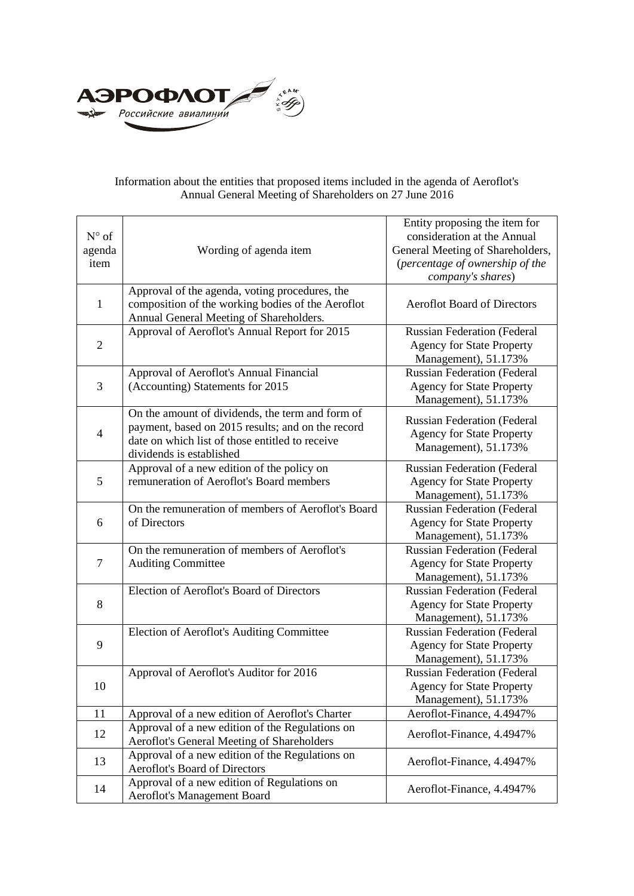

## Information about the entities that proposed items included in the agenda of Aeroflot's Annual General Meeting of Shareholders on 27 June 2016

| $N^{\circ}$ of<br>agenda<br>item | Wording of agenda item                                                                                                                                                               | Entity proposing the item for<br>consideration at the Annual<br>General Meeting of Shareholders,<br>(percentage of ownership of the<br>company's shares) |
|----------------------------------|--------------------------------------------------------------------------------------------------------------------------------------------------------------------------------------|----------------------------------------------------------------------------------------------------------------------------------------------------------|
| $\mathbf{1}$                     | Approval of the agenda, voting procedures, the<br>composition of the working bodies of the Aeroflot<br>Annual General Meeting of Shareholders.                                       | <b>Aeroflot Board of Directors</b>                                                                                                                       |
| $\overline{2}$                   | Approval of Aeroflot's Annual Report for 2015                                                                                                                                        | <b>Russian Federation (Federal</b><br><b>Agency for State Property</b><br>Management), 51.173%                                                           |
| 3                                | Approval of Aeroflot's Annual Financial<br>(Accounting) Statements for 2015                                                                                                          | <b>Russian Federation (Federal</b><br><b>Agency for State Property</b><br>Management), 51.173%                                                           |
| 4                                | On the amount of dividends, the term and form of<br>payment, based on 2015 results; and on the record<br>date on which list of those entitled to receive<br>dividends is established | <b>Russian Federation (Federal</b><br><b>Agency for State Property</b><br>Management), 51.173%                                                           |
| 5                                | Approval of a new edition of the policy on<br>remuneration of Aeroflot's Board members                                                                                               | <b>Russian Federation (Federal</b><br><b>Agency for State Property</b><br>Management), 51.173%                                                           |
| 6                                | On the remuneration of members of Aeroflot's Board<br>of Directors                                                                                                                   | <b>Russian Federation (Federal</b><br><b>Agency for State Property</b><br>Management), 51.173%                                                           |
| $\tau$                           | On the remuneration of members of Aeroflot's<br><b>Auditing Committee</b>                                                                                                            | <b>Russian Federation (Federal</b><br><b>Agency for State Property</b><br>Management), 51.173%                                                           |
| 8                                | Election of Aeroflot's Board of Directors                                                                                                                                            | <b>Russian Federation (Federal</b><br><b>Agency for State Property</b><br>Management), 51.173%                                                           |
| 9                                | Election of Aeroflot's Auditing Committee                                                                                                                                            | <b>Russian Federation (Federal</b><br><b>Agency for State Property</b><br>Management), 51.173%                                                           |
| 10                               | Approval of Aeroflot's Auditor for 2016                                                                                                                                              | <b>Russian Federation (Federal</b><br><b>Agency for State Property</b><br>Management), 51.173%                                                           |
| 11                               | Approval of a new edition of Aeroflot's Charter                                                                                                                                      | Aeroflot-Finance, 4.4947%                                                                                                                                |
| 12                               | Approval of a new edition of the Regulations on<br>Aeroflot's General Meeting of Shareholders                                                                                        | Aeroflot-Finance, 4.4947%                                                                                                                                |
| 13                               | Approval of a new edition of the Regulations on<br><b>Aeroflot's Board of Directors</b>                                                                                              | Aeroflot-Finance, 4.4947%                                                                                                                                |
| 14                               | Approval of a new edition of Regulations on<br>Aeroflot's Management Board                                                                                                           | Aeroflot-Finance, 4.4947%                                                                                                                                |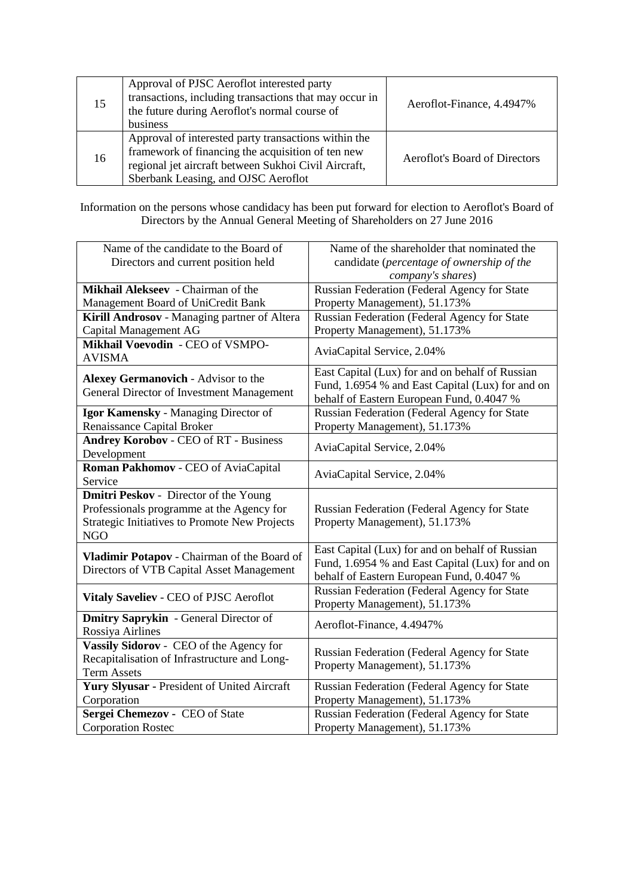| 15 | Approval of PJSC Aeroflot interested party<br>transactions, including transactions that may occur in<br>the future during Aeroflot's normal course of<br>business                                        | Aeroflot-Finance, 4.4947%     |
|----|----------------------------------------------------------------------------------------------------------------------------------------------------------------------------------------------------------|-------------------------------|
| 16 | Approval of interested party transactions within the<br>framework of financing the acquisition of ten new<br>regional jet aircraft between Sukhoi Civil Aircraft,<br>Sberbank Leasing, and OJSC Aeroflot | Aeroflot's Board of Directors |

Information on the persons whose candidacy has been put forward for election to Aeroflot's Board of Directors by the Annual General Meeting of Shareholders on 27 June 2016

| Name of the candidate to the Board of<br>Directors and current position held             | Name of the shareholder that nominated the<br>candidate (percentage of ownership of the                                                          |  |
|------------------------------------------------------------------------------------------|--------------------------------------------------------------------------------------------------------------------------------------------------|--|
|                                                                                          | company's shares)                                                                                                                                |  |
| Mikhail Alekseev - Chairman of the                                                       | Russian Federation (Federal Agency for State                                                                                                     |  |
| Management Board of UniCredit Bank                                                       | Property Management), 51.173%                                                                                                                    |  |
| Kirill Androsov - Managing partner of Altera                                             | Russian Federation (Federal Agency for State                                                                                                     |  |
| Capital Management AG                                                                    | Property Management), 51.173%                                                                                                                    |  |
| Mikhail Voevodin - CEO of VSMPO-<br><b>AVISMA</b>                                        | AviaCapital Service, 2.04%                                                                                                                       |  |
| <b>Alexey Germanovich - Advisor to the</b><br>General Director of Investment Management  | East Capital (Lux) for and on behalf of Russian<br>Fund, 1.6954 % and East Capital (Lux) for and on                                              |  |
|                                                                                          | behalf of Eastern European Fund, 0.4047 %                                                                                                        |  |
| Igor Kamensky - Managing Director of                                                     | Russian Federation (Federal Agency for State                                                                                                     |  |
| <b>Renaissance Capital Broker</b>                                                        | Property Management), 51.173%                                                                                                                    |  |
| <b>Andrey Korobov - CEO of RT - Business</b>                                             | AviaCapital Service, 2.04%                                                                                                                       |  |
| Development                                                                              |                                                                                                                                                  |  |
| Roman Pakhomov - CEO of AviaCapital<br>Service                                           | AviaCapital Service, 2.04%                                                                                                                       |  |
| <b>Dmitri Peskov</b> - Director of the Young                                             |                                                                                                                                                  |  |
| Professionals programme at the Agency for                                                | Russian Federation (Federal Agency for State                                                                                                     |  |
| <b>Strategic Initiatives to Promote New Projects</b>                                     | Property Management), 51.173%                                                                                                                    |  |
| <b>NGO</b>                                                                               |                                                                                                                                                  |  |
| Vladimir Potapov - Chairman of the Board of<br>Directors of VTB Capital Asset Management | East Capital (Lux) for and on behalf of Russian<br>Fund, 1.6954 % and East Capital (Lux) for and on<br>behalf of Eastern European Fund, 0.4047 % |  |
| Vitaly Saveliev - CEO of PJSC Aeroflot                                                   | Russian Federation (Federal Agency for State<br>Property Management), 51.173%                                                                    |  |
| Dmitry Saprykin - General Director of<br>Rossiya Airlines                                | Aeroflot-Finance, 4.4947%                                                                                                                        |  |
| Vassily Sidorov - CEO of the Agency for                                                  | Russian Federation (Federal Agency for State                                                                                                     |  |
| Recapitalisation of Infrastructure and Long-                                             | Property Management), 51.173%                                                                                                                    |  |
| <b>Term Assets</b>                                                                       |                                                                                                                                                  |  |
| Yury Slyusar - President of United Aircraft                                              | Russian Federation (Federal Agency for State                                                                                                     |  |
| Corporation                                                                              | Property Management), 51.173%                                                                                                                    |  |
| Sergei Chemezov - CEO of State                                                           | Russian Federation (Federal Agency for State                                                                                                     |  |
| <b>Corporation Rostec</b>                                                                | Property Management), 51.173%                                                                                                                    |  |